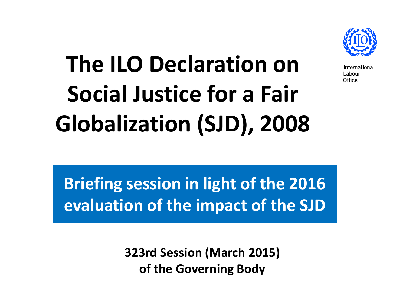

**nternational** ıhnı ır Office

# **The ILO Declaration on Social Justice for a Fair Globalization (SJD), 2008**

**Briefing session in light of the 2016 evaluation of the impact of the SJD**

> **323rd Session (March 2015) of the Governing Body**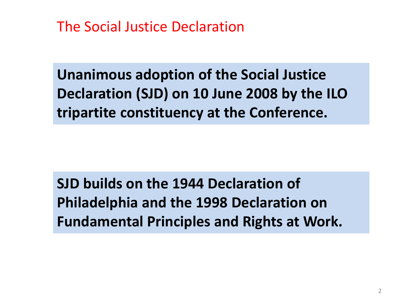The Social Justice Declaration

**Unanimous adoption of the Social Justice Declaration (SJD) on 10 June 2008 by the ILO tripartite constituency at the Conference.**

**SJD builds on the 1944 Declaration of Philadelphia and the 1998 Declaration on Fundamental Principles and Rights at Work.**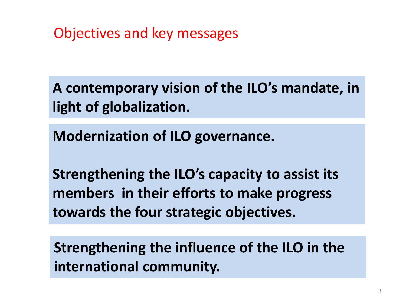Objectives and key messages

**A contemporary vision of the ILO's mandate, in light of globalization.**

**Modernization of ILO governance.**

**Strengthening the ILO's capacity to assist its members in their efforts to make progress towards the four strategic objectives.**

**Strengthening the influence of the ILO in the international community.**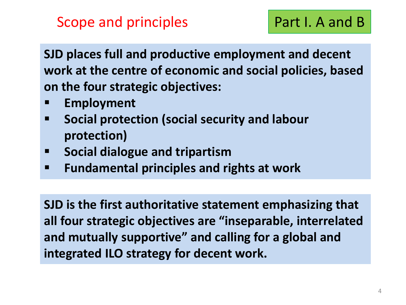**SJD places full and productive employment and decent work at the centre of economic and social policies, based on the four strategic objectives:**

- **Employment**
- **Social protection (social security and labour protection)**
- **E** Social dialogue and tripartism
- **Fundamental principles and rights at work**

**SJD is the first authoritative statement emphasizing that all four strategic objectives are "inseparable, interrelated and mutually supportive" and calling for a global and integrated ILO strategy for decent work.**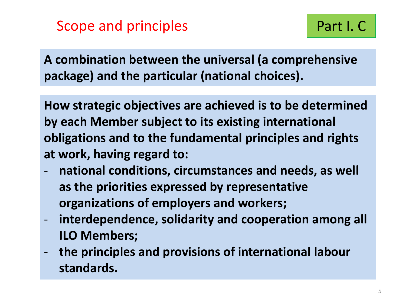**A combination between the universal (a comprehensive package) and the particular (national choices).**

**How strategic objectives are achieved is to be determined by each Member subject to its existing international obligations and to the fundamental principles and rights at work, having regard to:**

- national conditions, circumstances and needs, as well **as the priorities expressed by representative organizations of employers and workers;**
- **interdependence, solidarity and cooperation among all ILO Members;**
- **the principles and provisions of international labour standards.**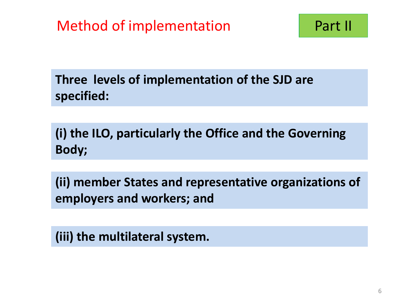**Three levels of implementation of the SJD are specified:**

**(i) the ILO, particularly the Office and the Governing Body;**

**(ii) member States and representative organizations of employers and workers; and**

**(iii) the multilateral system.**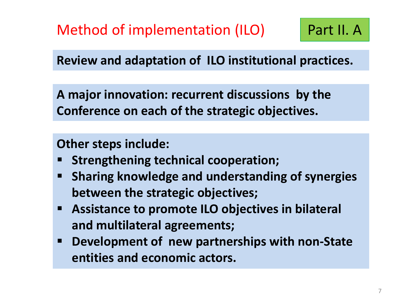Method of implementation (ILO)

**Review and adaptation of ILO institutional practices.**

**A major innovation: recurrent discussions by the Conference on each of the strategic objectives.**

**Other steps include:** 

- **Strengthening technical cooperation;**
- **Sharing knowledge and understanding of synergies between the strategic objectives;**
- **Assistance to promote ILO objectives in bilateral and multilateral agreements;**
- **Development of new partnerships with non-State entities and economic actors.**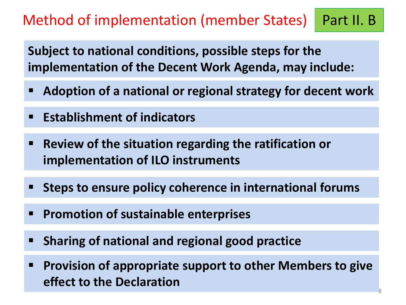## Method of implementation (member States) | Part II. B

**Subject to national conditions, possible steps for the implementation of the Decent Work Agenda, may include:**

- **Adoption of a national or regional strategy for decent work**
- **Establishment of indicators**
- **Review of the situation regarding the ratification or implementation of ILO instruments**
- **Steps to ensure policy coherence in international forums**
- **Promotion of sustainable enterprises**
- **Sharing of national and regional good practice**
- **Provision of appropriate support to other Members to give effect to the Declaration**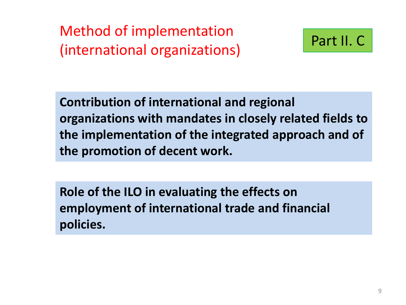Method of implementation (international organizations)



**Contribution of international and regional organizations with mandates in closely related fields to the implementation of the integrated approach and of the promotion of decent work.**

**Role of the ILO in evaluating the effects on employment of international trade and financial policies.**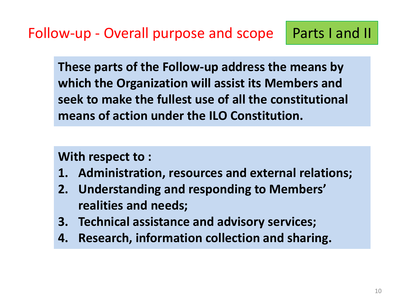**These parts of the Follow-up address the means by which the Organization will assist its Members and seek to make the fullest use of all the constitutional means of action under the ILO Constitution.**

**With respect to :**

- **1. Administration, resources and external relations;**
- **2. Understanding and responding to Members' realities and needs;**
- **3. Technical assistance and advisory services;**
- **4. Research, information collection and sharing.**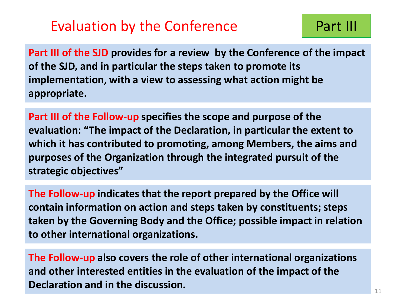#### Evaluation by the Conference **Part III**

**Part III of the SJD provides for a review by the Conference of the impact of the SJD, and in particular the steps taken to promote its implementation, with a view to assessing what action might be appropriate.**

**Part III of the Follow-up specifies the scope and purpose of the evaluation: "The impact of the Declaration, in particular the extent to which it has contributed to promoting, among Members, the aims and purposes of the Organization through the integrated pursuit of the strategic objectives"**

**The Follow-up indicates that the report prepared by the Office will contain information on action and steps taken by constituents; steps taken by the Governing Body and the Office; possible impact in relation to other international organizations.**

**The Follow-up also covers the role of other international organizations and other interested entities in the evaluation of the impact of the Declaration and in the discussion.**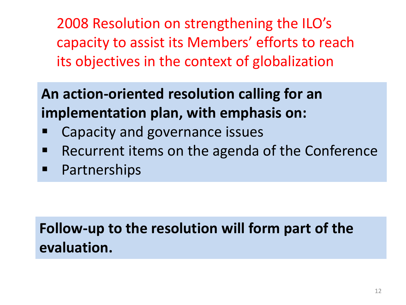2008 Resolution on strengthening the ILO's capacity to assist its Members' efforts to reach its objectives in the context of globalization

# **An action-oriented resolution calling for an implementation plan, with emphasis on:**

- Capacity and governance issues
- Recurrent items on the agenda of the Conference
- **Partnerships**

## **Follow-up to the resolution will form part of the evaluation.**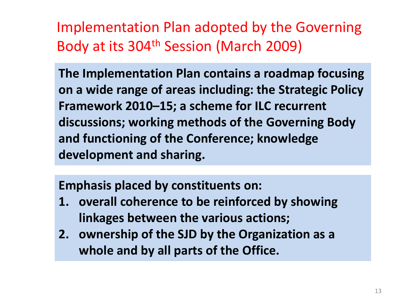Implementation Plan adopted by the Governing Body at its 304th Session (March 2009)

**The Implementation Plan contains a roadmap focusing on a wide range of areas including: the Strategic Policy Framework 2010–15; a scheme for ILC recurrent discussions; working methods of the Governing Body and functioning of the Conference; knowledge development and sharing.** 

**Emphasis placed by constituents on:**

- **1. overall coherence to be reinforced by showing linkages between the various actions;**
- **2. ownership of the SJD by the Organization as a whole and by all parts of the Office.**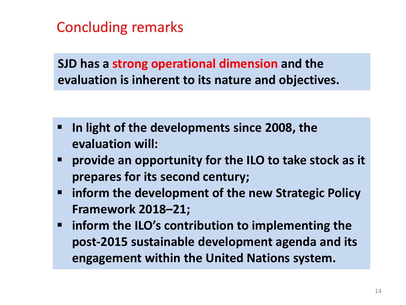Concluding remarks

**SJD has a strong operational dimension and the evaluation is inherent to its nature and objectives.**

- **In light of the developments since 2008, the evaluation will:**
- **provide an opportunity for the ILO to take stock as it prepares for its second century;**
- **inform the development of the new Strategic Policy Framework 2018–21;**
- **inform the ILO's contribution to implementing the post-2015 sustainable development agenda and its engagement within the United Nations system.**